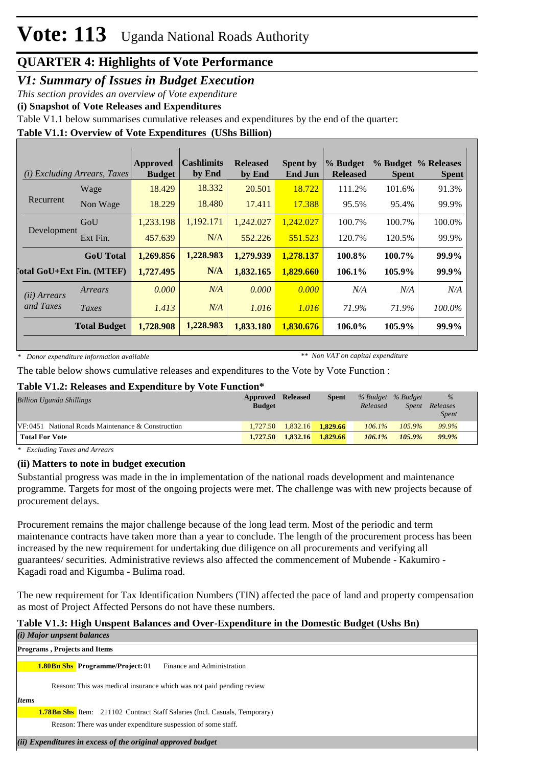## *V1: Summary of Issues in Budget Execution*

*This section provides an overview of Vote expenditure*

**(i) Snapshot of Vote Releases and Expenditures**

Table V1.1 below summarises cumulative releases and expenditures by the end of the quarter:

## **Table V1.1: Overview of Vote Expenditures (UShs Billion)**

| (i)                   | <i>Excluding Arrears, Taxes</i>  | Approved<br><b>Budget</b> | <b>Cashlimits</b><br>by End | <b>Released</b><br>by End | <b>Spent by</b><br><b>End Jun</b> | % Budget<br><b>Released</b> | <b>Spent</b> | % Budget % Releases<br><b>Spent</b> |
|-----------------------|----------------------------------|---------------------------|-----------------------------|---------------------------|-----------------------------------|-----------------------------|--------------|-------------------------------------|
|                       | Wage                             | 18.429                    | 18.332                      | 20.501                    | 18.722                            | 111.2%                      | 101.6%       | 91.3%                               |
| Recurrent             | Non Wage                         | 18.229                    | 18.480                      | 17.411                    | 17.388                            | 95.5%                       | 95.4%        | 99.9%                               |
| Development           | GoU                              | 1,233.198                 | 1,192.171                   | 1,242.027                 | 1,242.027                         | 100.7%                      | 100.7%       | 100.0%                              |
|                       | Ext Fin.                         | 457.639                   | N/A                         | 552.226                   | 551.523                           | 120.7%                      | 120.5%       | 99.9%                               |
|                       | <b>GoU</b> Total                 | 1,269.856                 | 1,228.983                   | 1,279.939                 | 1,278.137                         | 100.8%                      | 100.7%       | 99.9%                               |
|                       | <b>Total GoU+Ext Fin. (MTEF)</b> | 1,727.495                 | N/A                         | 1,832.165                 | 1,829.660                         | 106.1%                      | 105.9%       | 99.9%                               |
| ( <i>ii</i> ) Arrears | Arrears                          | 0.000                     | N/A                         | 0.000                     | 0.000                             | N/A                         | N/A          | N/A                                 |
| and Taxes             | Taxes                            | 1.413                     | N/A                         | 1.016                     | 1.016                             | 71.9%                       | 71.9%        | 100.0%                              |
|                       | <b>Total Budget</b>              | 1,728.908                 | 1,228.983                   | 1,833.180                 | 1,830.676                         | 106.0%                      | 105.9%       | 99.9%                               |

*\* Donor expenditure information available*

*\*\* Non VAT on capital expenditure*

The table below shows cumulative releases and expenditures to the Vote by Vote Function :

## **Table V1.2: Releases and Expenditure by Vote Function\***

| Billion Uganda Shillings                             | <b>Approved Released</b><br><b>Budget</b> |          | <b>Spent</b> | Released  | % Budget % Budget<br>Spent | $\%$<br>Releases<br><i>Spent</i> |
|------------------------------------------------------|-------------------------------------------|----------|--------------|-----------|----------------------------|----------------------------------|
| $VF: 0451$ National Roads Maintenance & Construction | 1.727.50                                  | 1.832.16 | 1.829.66     | $106.1\%$ | $105.9\%$                  | 99.9%                            |
| <b>Total For Vote</b>                                | 1,727.50                                  | 1,832.16 | 1.829.66     | $106.1\%$ | 105.9%                     | 99.9%                            |

*\* Excluding Taxes and Arrears*

## **(ii) Matters to note in budget execution**

Substantial progress was made in the in implementation of the national roads development and maintenance programme. Targets for most of the ongoing projects were met. The challenge was with new projects because of procurement delays.

Procurement remains the major challenge because of the long lead term. Most of the periodic and term maintenance contracts have taken more than a year to conclude. The length of the procurement process has been increased by the new requirement for undertaking due diligence on all procurements and verifying all guarantees/ securities. Administrative reviews also affected the commencement of Mubende - Kakumiro - Kagadi road and Kigumba - Bulima road.

The new requirement for Tax Identification Numbers (TIN) affected the pace of land and property compensation as most of Project Affected Persons do not have these numbers.

#### **Table V1.3: High Unspent Balances and Over-Expenditure in the Domestic Budget (Ushs Bn)**  $(1)$  Major units

| ( <i>i</i> ) Major unpsent balances                                               |  |  |  |  |  |  |
|-----------------------------------------------------------------------------------|--|--|--|--|--|--|
| <b>Programs, Projects and Items</b>                                               |  |  |  |  |  |  |
| Finance and Administration<br><b>1.80Bn Shs</b> Programme/Project: 01             |  |  |  |  |  |  |
| Reason: This was medical insurance which was not paid pending review              |  |  |  |  |  |  |
| <b>Items</b>                                                                      |  |  |  |  |  |  |
| <b>1.78Bn Shs</b> Item: 211102 Contract Staff Salaries (Incl. Casuals, Temporary) |  |  |  |  |  |  |
| Reason: There was under expenditure suspession of some staff.                     |  |  |  |  |  |  |
| (ii) Expenditures in excess of the original approved budget                       |  |  |  |  |  |  |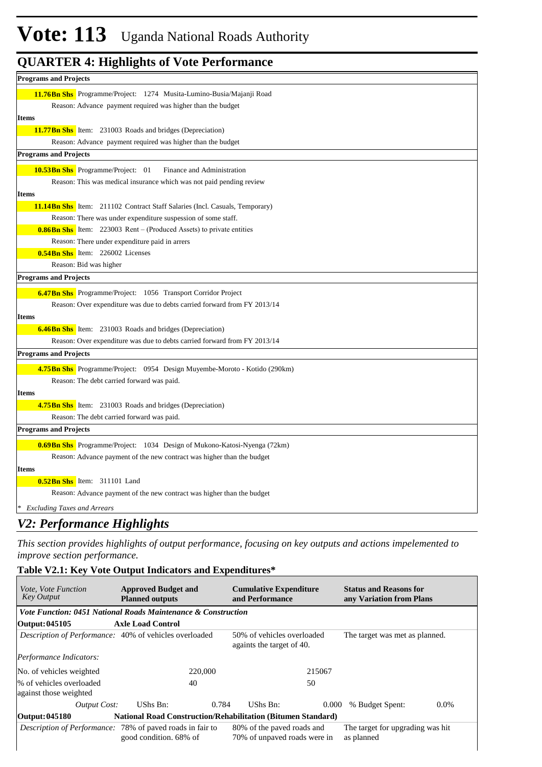| <b>Programs and Projects</b>                                                       |
|------------------------------------------------------------------------------------|
| 11.76 Bn Shs Programme/Project: 1274 Musita-Lumino-Busia/Majanji Road              |
| Reason: Advance payment required was higher than the budget                        |
| <b>Items</b>                                                                       |
| <b>11.77 Bn Shs</b> Item: 231003 Roads and bridges (Depreciation)                  |
| Reason: Advance payment required was higher than the budget                        |
| <b>Programs and Projects</b>                                                       |
| 10.53 Bn Shs Programme/Project: 01<br>Finance and Administration                   |
| Reason: This was medical insurance which was not paid pending review               |
| <b>Items</b>                                                                       |
| <b>11.14Bn Shs</b> Item: 211102 Contract Staff Salaries (Incl. Casuals, Temporary) |
| Reason: There was under expenditure suspession of some staff.                      |
| <b>0.86Bn Shs</b> Item: 223003 Rent – (Produced Assets) to private entities        |
| Reason: There under expenditure paid in arrers                                     |
| <b>0.54Bn Shs</b> Item: 226002 Licenses                                            |
| Reason: Bid was higher                                                             |
| <b>Programs and Projects</b>                                                       |
| <b>6.47 Bn Shs</b> Programme/Project: 1056 Transport Corridor Project              |
| Reason: Over expenditure was due to debts carried forward from FY 2013/14          |
| <b>Items</b>                                                                       |
| <b>6.46 Bn Shs</b> Item: 231003 Roads and bridges (Depreciation)                   |
| Reason: Over expenditure was due to debts carried forward from FY 2013/14          |
| <b>Programs and Projects</b>                                                       |
| 4.75 Bn Shs Programme/Project: 0954 Design Muyembe-Moroto - Kotido (290km)         |
| Reason: The debt carried forward was paid.                                         |
| <b>Items</b>                                                                       |
| 4.75 Bn Shs Item: 231003 Roads and bridges (Depreciation)                          |
| Reason: The debt carried forward was paid.                                         |
| <b>Programs and Projects</b>                                                       |
| <b>0.69 Bn Shs</b> Programme/Project: 1034 Design of Mukono-Katosi-Nyenga (72km)   |
| Reason: Advance payment of the new contract was higher than the budget             |
| <b>Items</b>                                                                       |
| 0.52Bn Shs Item: 311101 Land                                                       |
| Reason: Advance payment of the new contract was higher than the budget             |
| <b>Excluding Taxes and Arrears</b>                                                 |
|                                                                                    |

## *V2: Performance Highlights*

*This section provides highlights of output performance, focusing on key outputs and actions impelemented to improve section performance.*

### **Table V2.1: Key Vote Output Indicators and Expenditures\***

| <i>Vote, Vote Function</i><br><b>Key Output</b>        | <b>Approved Budget and</b><br><b>Planned outputs</b>                                       | <b>Cumulative Expenditure</b><br>and Performance                                          | <b>Status and Reasons for</b><br>any Variation from Plans |  |  |  |  |  |  |  |
|--------------------------------------------------------|--------------------------------------------------------------------------------------------|-------------------------------------------------------------------------------------------|-----------------------------------------------------------|--|--|--|--|--|--|--|
|                                                        | Vote Function: 0451 National Roads Maintenance & Construction                              |                                                                                           |                                                           |  |  |  |  |  |  |  |
| Output: 045105                                         | <b>Axle Load Control</b>                                                                   |                                                                                           |                                                           |  |  |  |  |  |  |  |
| Description of Performance: 40% of vehicles overloaded |                                                                                            | 50% of vehicles overloaded<br>The target was met as planned.<br>againts the target of 40. |                                                           |  |  |  |  |  |  |  |
| Performance Indicators:                                |                                                                                            |                                                                                           |                                                           |  |  |  |  |  |  |  |
| No. of vehicles weighted                               | 220,000                                                                                    | 215067                                                                                    |                                                           |  |  |  |  |  |  |  |
| % of vehicles overloaded<br>against those weighted     | 40                                                                                         | 50                                                                                        |                                                           |  |  |  |  |  |  |  |
| Output Cost:                                           | UShs Bn:<br>0.784                                                                          | UShs Bn:<br>0.000                                                                         | % Budget Spent:<br>$0.0\%$                                |  |  |  |  |  |  |  |
| Output: 045180                                         | <b>National Road Construction/Rehabilitation (Bitumen Standard)</b>                        |                                                                                           |                                                           |  |  |  |  |  |  |  |
|                                                        | <i>Description of Performance:</i> 78% of paved roads in fair to<br>good condition. 68% of | 80% of the paved roads and<br>70% of unpaved roads were in                                | The target for upgrading was hit.<br>as planned           |  |  |  |  |  |  |  |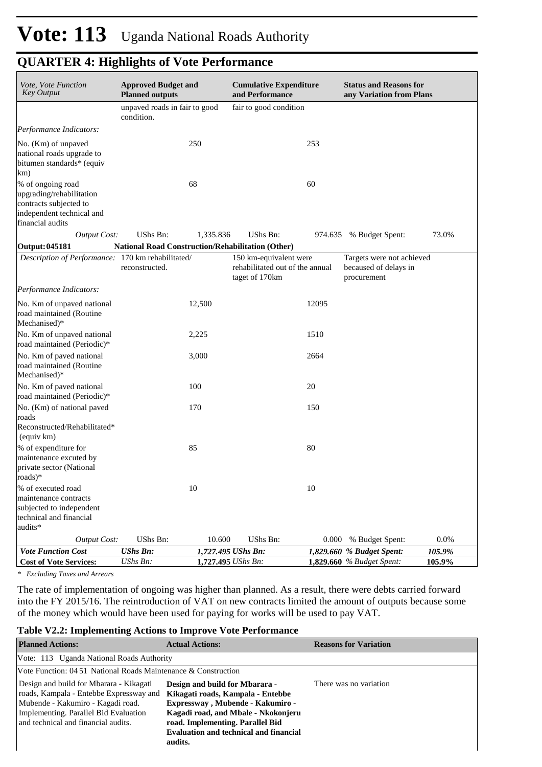| Vote, Vote Function<br><b>Key Output</b>                                                                                 | <b>Approved Budget and</b><br><b>Planned outputs</b>     |           | <b>Cumulative Expenditure</b><br>and Performance                            |       | <b>Status and Reasons for</b><br>any Variation from Plans         |                  |  |  |
|--------------------------------------------------------------------------------------------------------------------------|----------------------------------------------------------|-----------|-----------------------------------------------------------------------------|-------|-------------------------------------------------------------------|------------------|--|--|
|                                                                                                                          | unpaved roads in fair to good<br>condition.              |           | fair to good condition                                                      |       |                                                                   |                  |  |  |
| Performance Indicators:                                                                                                  |                                                          |           |                                                                             |       |                                                                   |                  |  |  |
| No. (Km) of unpaved<br>national roads upgrade to<br>bitumen standards* (equiv<br>km)                                     |                                                          | 250       |                                                                             | 253   |                                                                   |                  |  |  |
| % of ongoing road<br>upgrading/rehabilitation<br>contracts subjected to<br>independent technical and<br>financial audits |                                                          | 68        |                                                                             | 60    |                                                                   |                  |  |  |
| <b>Output Cost:</b>                                                                                                      | UShs Bn:                                                 | 1,335.836 | UShs Bn:                                                                    |       | 974.635 % Budget Spent:                                           | 73.0%            |  |  |
| Output: 045181                                                                                                           | <b>National Road Construction/Rehabilitation (Other)</b> |           |                                                                             |       |                                                                   |                  |  |  |
| Description of Performance: 170 km rehabilitated/                                                                        | reconstructed.                                           |           | 150 km-equivalent were<br>rehabilitated out of the annual<br>taget of 170km |       | Targets were not achieved<br>becaused of delays in<br>procurement |                  |  |  |
| Performance Indicators:                                                                                                  |                                                          |           |                                                                             |       |                                                                   |                  |  |  |
| No. Km of unpaved national<br>road maintained (Routine<br>Mechanised)*                                                   |                                                          | 12,500    |                                                                             | 12095 |                                                                   |                  |  |  |
| No. Km of unpaved national<br>road maintained (Periodic)*                                                                |                                                          | 2,225     |                                                                             | 1510  |                                                                   |                  |  |  |
| No. Km of paved national<br>road maintained (Routine<br>Mechanised)*                                                     |                                                          | 3,000     |                                                                             | 2664  |                                                                   |                  |  |  |
| No. Km of paved national<br>road maintained (Periodic)*                                                                  |                                                          | 100       |                                                                             | 20    |                                                                   |                  |  |  |
| No. (Km) of national paved<br>roads<br>Reconstructed/Rehabilitated*<br>(equiv km)                                        |                                                          | 170       |                                                                             | 150   |                                                                   |                  |  |  |
| % of expenditure for<br>maintenance excuted by<br>private sector (National<br>roads)*                                    |                                                          | 85        |                                                                             | 80    |                                                                   |                  |  |  |
| % of executed road<br>maintenance contracts<br>subjected to independent<br>technical and financial<br>audits*            |                                                          | 10        |                                                                             | 10    |                                                                   |                  |  |  |
| <b>Output Cost:</b>                                                                                                      | UShs Bn:                                                 | 10.600    | UShs Bn:                                                                    | 0.000 | % Budget Spent:                                                   | 0.0%             |  |  |
| <b>Vote Function Cost</b><br><b>Cost of Vote Services:</b>                                                               | <b>UShs Bn:</b><br>UShs Bn:                              |           | 1,727.495 UShs Bn:<br>1,727.495 UShs Bn:                                    |       | 1,829.660 % Budget Spent:<br><b>1,829.660</b> % Budget Spent:     | 105.9%<br>105.9% |  |  |

*\* Excluding Taxes and Arrears*

The rate of implementation of ongoing was higher than planned. As a result, there were debts carried forward into the FY 2015/16. The reintroduction of VAT on new contracts limited the amount of outputs because some of the money which would have been used for paying for works will be used to pay VAT.

#### **Table V2.2: Implementing Actions to Improve Vote Performance**

| <b>Planned Actions:</b>                                                                                                                                                                                 | <b>Actual Actions:</b>                                                                                                                                                                                                                         | <b>Reasons for Variation</b> |
|---------------------------------------------------------------------------------------------------------------------------------------------------------------------------------------------------------|------------------------------------------------------------------------------------------------------------------------------------------------------------------------------------------------------------------------------------------------|------------------------------|
| Vote: 113 Uganda National Roads Authority                                                                                                                                                               |                                                                                                                                                                                                                                                |                              |
| Vote Function: $0451$ National Roads Maintenance & Construction                                                                                                                                         |                                                                                                                                                                                                                                                |                              |
| Design and build for Mbarara - Kikagati<br>roads, Kampala - Entebbe Expressway and<br>Mubende - Kakumiro - Kagadi road.<br>Implementing. Parallel Bid Evaluation<br>and technical and financial audits. | Design and build for Mbarara -<br>Kikagati roads, Kampala - Entebbe<br>Expressway, Mubende - Kakumiro -<br>Kagadi road, and Mbale - Nkokonjeru<br>road. Implementing. Parallel Bid<br><b>Evaluation and technical and financial</b><br>audits. | There was no variation       |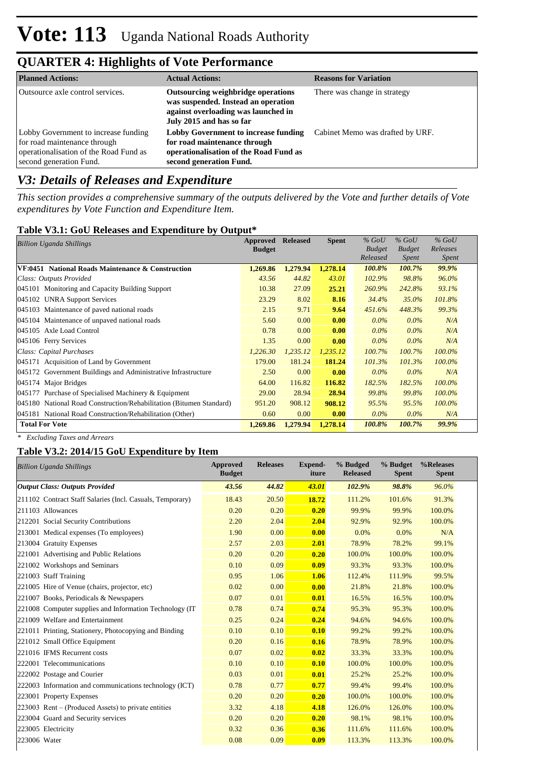| <b>Planned Actions:</b>                                                                                                                   | <b>Actual Actions:</b>                                                                                                                       | <b>Reasons for Variation</b>     |
|-------------------------------------------------------------------------------------------------------------------------------------------|----------------------------------------------------------------------------------------------------------------------------------------------|----------------------------------|
| Outsource axle control services.                                                                                                          | Outsourcing weighbridge operations<br>was suspended. Instead an operation<br>against overloading was launched in<br>July 2015 and has so far | There was change in strategy     |
| Lobby Government to increase funding<br>for road maintenance through<br>operationalisation of the Road Fund as<br>second generation Fund. | Lobby Government to increase funding<br>for road maintenance through<br>operationalisation of the Road Fund as<br>second generation Fund.    | Cabinet Memo was drafted by URF. |

# *V3: Details of Releases and Expenditure*

*This section provides a comprehensive summary of the outputs delivered by the Vote and further details of Vote expenditures by Vote Function and Expenditure Item.*

## **Table V3.1: GoU Releases and Expenditure by Output\***

| Billion Uganda Shillings                                            | Approved<br><b>Budget</b> | <b>Released</b> | <b>Spent</b> | $%$ GoU<br><b>Budget</b><br>Released | $%$ GoU<br><b>Budget</b><br><i>Spent</i> | $%$ GoU<br>Releases<br><i>Spent</i> |
|---------------------------------------------------------------------|---------------------------|-----------------|--------------|--------------------------------------|------------------------------------------|-------------------------------------|
| VF:0451 National Roads Maintenance & Construction                   | 1,269.86                  | 1,279.94        | 1,278.14     | 100.8%                               | 100.7%                                   | 99.9%                               |
| Class: Outputs Provided                                             | 43.56                     | 44.82           | 43.01        | $102.9\%$                            | 98.8%                                    | 96.0%                               |
| 045101 Monitoring and Capacity Building Support                     | 10.38                     | 27.09           | 25.21        | 260.9%                               | 242.8%                                   | 93.1%                               |
| 045102 UNRA Support Services                                        | 23.29                     | 8.02            | 8.16         | 34.4%                                | 35.0%                                    | 101.8%                              |
| 045103 Maintenance of paved national roads                          | 2.15                      | 9.71            | 9.64         | 451.6%                               | 448.3%                                   | 99.3%                               |
| 045104 Maintenance of unpaved national roads                        | 5.60                      | 0.00            | 0.00         | $0.0\%$                              | $0.0\%$                                  | N/A                                 |
| 045105 Axle Load Control                                            | 0.78                      | 0.00            | 0.00         | $0.0\%$                              | $0.0\%$                                  | N/A                                 |
| 045106 Ferry Services                                               | 1.35                      | 0.00            | 0.00         | $0.0\%$                              | $0.0\%$                                  | N/A                                 |
| Class: Capital Purchases                                            | 1,226.30                  | 1,235.12        | 1,235.12     | $100.7\%$                            | 100.7%                                   | 100.0%                              |
| 045171 Acquisition of Land by Government                            | 179.00                    | 181.24          | 181.24       | 101.3%                               | 101.3%                                   | $100.0\%$                           |
| 045172 Government Buildings and Administrative Infrastructure       | 2.50                      | 0.00            | 0.00         | $0.0\%$                              | $0.0\%$                                  | N/A                                 |
| 045174 Major Bridges                                                | 64.00                     | 116.82          | 116.82       | 182.5%                               | 182.5%                                   | 100.0%                              |
| Purchase of Specialised Machinery & Equipment<br>045177             | 29.00                     | 28.94           | 28.94        | 99.8%                                | 99.8%                                    | 100.0%                              |
| 045180 National Road Construction/Rehabilitation (Bitumen Standard) | 951.20                    | 908.12          | 908.12       | 95.5%                                | 95.5%                                    | $100.0\%$                           |
| 045181 National Road Construction/Rehabilitation (Other)            | 0.60                      | 0.00            | 0.00         | $0.0\%$                              | $0.0\%$                                  | N/A                                 |
| <b>Total For Vote</b>                                               | 1.269.86                  | 1.279.94        | 1,278.14     | 100.8%                               | 100.7%                                   | 99.9%                               |

*\* Excluding Taxes and Arrears*

## **Table V3.2: 2014/15 GoU Expenditure by Item**

| <b>Billion Uganda Shillings</b>                           | <b>Approved</b><br><b>Budget</b> | <b>Releases</b> | <b>Expend-</b><br>iture | % Budged<br><b>Released</b> | % Budget<br><b>Spent</b> | %Releases<br><b>Spent</b> |
|-----------------------------------------------------------|----------------------------------|-----------------|-------------------------|-----------------------------|--------------------------|---------------------------|
| <b>Output Class: Outputs Provided</b>                     | 43.56                            | 44.82           | 43.01                   | 102.9%                      | 98.8%                    | 96.0%                     |
| 211102 Contract Staff Salaries (Incl. Casuals, Temporary) | 18.43                            | 20.50           | 18.72                   | 111.2%                      | 101.6%                   | 91.3%                     |
| 211103 Allowances                                         | 0.20                             | 0.20            | 0.20                    | 99.9%                       | 99.9%                    | 100.0%                    |
| 212201 Social Security Contributions                      | 2.20                             | 2.04            | 2.04                    | 92.9%                       | 92.9%                    | 100.0%                    |
| 213001 Medical expenses (To employees)                    | 1.90                             | 0.00            | 0.00                    | 0.0%                        | 0.0%                     | N/A                       |
| 213004 Gratuity Expenses                                  | 2.57                             | 2.03            | 2.01                    | 78.9%                       | 78.2%                    | 99.1%                     |
| 221001 Advertising and Public Relations                   | 0.20                             | 0.20            | 0.20                    | 100.0%                      | 100.0%                   | 100.0%                    |
| 221002 Workshops and Seminars                             | 0.10                             | 0.09            | 0.09                    | 93.3%                       | 93.3%                    | 100.0%                    |
| 221003 Staff Training                                     | 0.95                             | 1.06            | 1.06                    | 112.4%                      | 111.9%                   | 99.5%                     |
| 221005 Hire of Venue (chairs, projector, etc)             | 0.02                             | 0.00            | 0.00                    | 21.8%                       | 21.8%                    | 100.0%                    |
| 221007 Books, Periodicals & Newspapers                    | 0.07                             | 0.01            | 0.01                    | 16.5%                       | 16.5%                    | 100.0%                    |
| 221008 Computer supplies and Information Technology (IT)  | 0.78                             | 0.74            | 0.74                    | 95.3%                       | 95.3%                    | 100.0%                    |
| 221009 Welfare and Entertainment                          | 0.25                             | 0.24            | 0.24                    | 94.6%                       | 94.6%                    | 100.0%                    |
| 221011 Printing, Stationery, Photocopying and Binding     | 0.10                             | 0.10            | 0.10                    | 99.2%                       | 99.2%                    | 100.0%                    |
| 221012 Small Office Equipment                             | 0.20                             | 0.16            | 0.16                    | 78.9%                       | 78.9%                    | 100.0%                    |
| 221016 IFMS Recurrent costs                               | 0.07                             | 0.02            | 0.02                    | 33.3%                       | 33.3%                    | 100.0%                    |
| 222001 Telecommunications                                 | 0.10                             | 0.10            | 0.10                    | 100.0%                      | 100.0%                   | 100.0%                    |
| 222002 Postage and Courier                                | 0.03                             | 0.01            | 0.01                    | 25.2%                       | 25.2%                    | 100.0%                    |
| 222003 Information and communications technology (ICT)    | 0.78                             | 0.77            | 0.77                    | 99.4%                       | 99.4%                    | 100.0%                    |
| 223001 Property Expenses                                  | 0.20                             | 0.20            | 0.20                    | 100.0%                      | 100.0%                   | 100.0%                    |
| $223003$ Rent – (Produced Assets) to private entities     | 3.32                             | 4.18            | 4.18                    | 126.0%                      | 126.0%                   | 100.0%                    |
| 223004 Guard and Security services                        | 0.20                             | 0.20            | 0.20                    | 98.1%                       | 98.1%                    | 100.0%                    |
| 223005 Electricity                                        | 0.32                             | 0.36            | 0.36                    | 111.6%                      | 111.6%                   | 100.0%                    |
| 223006 Water                                              | 0.08                             | 0.09            | 0.09                    | 113.3%                      | 113.3%                   | 100.0%                    |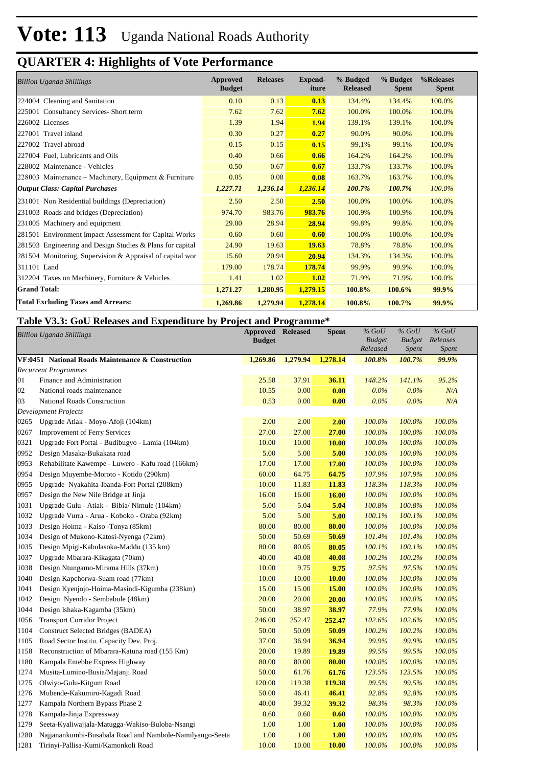| <b>Billion Uganda Shillings</b>                           | Approved<br><b>Budget</b> | <b>Releases</b> | <b>Expend-</b><br>iture | % Budged<br><b>Released</b> | % Budget<br><b>Spent</b> | %Releases<br><b>Spent</b> |
|-----------------------------------------------------------|---------------------------|-----------------|-------------------------|-----------------------------|--------------------------|---------------------------|
| 224004 Cleaning and Sanitation                            | 0.10                      | 0.13            | 0.13                    | 134.4%                      | 134.4%                   | 100.0%                    |
| 225001 Consultancy Services- Short term                   | 7.62                      | 7.62            | 7.62                    | 100.0%                      | 100.0%                   | 100.0%                    |
| 226002 Licenses                                           | 1.39                      | 1.94            | 1.94                    | 139.1%                      | 139.1%                   | 100.0%                    |
| 227001 Travel inland                                      | 0.30                      | 0.27            | 0.27                    | 90.0%                       | 90.0%                    | 100.0%                    |
| 227002 Travel abroad                                      | 0.15                      | 0.15            | 0.15                    | 99.1%                       | 99.1%                    | 100.0%                    |
| 227004 Fuel, Lubricants and Oils                          | 0.40                      | 0.66            | 0.66                    | 164.2%                      | 164.2%                   | 100.0%                    |
| 228002 Maintenance - Vehicles                             | 0.50                      | 0.67            | 0.67                    | 133.7%                      | 133.7%                   | 100.0%                    |
| 228003 Maintenance – Machinery, Equipment & Furniture     | 0.05                      | 0.08            | 0.08                    | 163.7%                      | 163.7%                   | 100.0%                    |
| <b>Output Class: Capital Purchases</b>                    | 1,227.71                  | 1,236.14        | 1,236.14                | 100.7%                      | 100.7%                   | 100.0%                    |
| 231001 Non Residential buildings (Depreciation)           | 2.50                      | 2.50            | 2.50                    | 100.0%                      | 100.0%                   | 100.0%                    |
| 231003 Roads and bridges (Depreciation)                   | 974.70                    | 983.76          | 983.76                  | 100.9%                      | 100.9%                   | 100.0%                    |
| 231005 Machinery and equipment                            | 29.00                     | 28.94           | 28.94                   | 99.8%                       | 99.8%                    | 100.0%                    |
| 281501 Environment Impact Assessment for Capital Works    | 0.60                      | 0.60            | 0.60                    | 100.0%                      | 100.0%                   | 100.0%                    |
| 281503 Engineering and Design Studies & Plans for capital | 24.90                     | 19.63           | 19.63                   | 78.8%                       | 78.8%                    | 100.0%                    |
| 281504 Monitoring, Supervision & Appraisal of capital wor | 15.60                     | 20.94           | 20.94                   | 134.3%                      | 134.3%                   | 100.0%                    |
| 311101 Land                                               | 179.00                    | 178.74          | 178.74                  | 99.9%                       | 99.9%                    | 100.0%                    |
| 312204 Taxes on Machinery, Furniture & Vehicles           | 1.41                      | 1.02            | 1.02                    | 71.9%                       | 71.9%                    | 100.0%                    |
| <b>Grand Total:</b>                                       | 1,271.27                  | 1,280.95        | 1,279.15                | 100.8%                      | $100.6\%$                | $99.9\%$                  |
| <b>Total Excluding Taxes and Arrears:</b>                 | 1,269.86                  | 1,279.94        | 1,278.14                | 100.8%                      | 100.7%                   | 99.9%                     |

#### **Table V3.3: GoU Releases and Expenditure by Project and Programme\***

| <b>Billion Uganda Shillings</b> |                                                          | <b>Approved</b><br><b>Budget</b> | <b>Released</b> | <b>Spent</b> | $%$ GoU<br><b>Budget</b><br>Released | $%$ GoU<br><b>Budget</b><br><i>Spent</i> | $%$ GoU<br>Releases<br>Spent |
|---------------------------------|----------------------------------------------------------|----------------------------------|-----------------|--------------|--------------------------------------|------------------------------------------|------------------------------|
|                                 | VF:0451 National Roads Maintenance & Construction        | 1,269.86                         | 1,279.94        | 1,278.14     | 100.8%                               | 100.7%                                   | 99.9%                        |
|                                 | <b>Recurrent Programmes</b>                              |                                  |                 |              |                                      |                                          |                              |
| 01                              | Finance and Administration                               | 25.58                            | 37.91           | 36.11        | 148.2%                               | 141.1%                                   | 95.2%                        |
| 02                              | National roads maintenance                               | 10.55                            | 0.00            | 0.00         | $0.0\%$                              | $0.0\%$                                  | N/A                          |
| 03                              | National Roads Construction                              | 0.53                             | 0.00            | 0.00         | 0.0%                                 | $0.0\%$                                  | N/A                          |
|                                 | <b>Development Projects</b>                              |                                  |                 |              |                                      |                                          |                              |
| 0265                            | Upgrade Atiak - Moyo-Afoji (104km)                       | 2.00                             | 2.00            | 2.00         | 100.0%                               | 100.0%                                   | 100.0%                       |
| 0267                            | <b>Improvement of Ferry Services</b>                     | 27.00                            | 27.00           | 27.00        | 100.0%                               | 100.0%                                   | 100.0%                       |
| 0321                            | Upgrade Fort Portal - Budibugyo - Lamia (104km)          | 10.00                            | 10.00           | 10.00        | 100.0%                               | 100.0%                                   | 100.0%                       |
| 0952                            | Design Masaka-Bukakata road                              | 5.00                             | 5.00            | 5.00         | 100.0%                               | 100.0%                                   | 100.0%                       |
| 0953                            | Rehabilitate Kawempe - Luwero - Kafu road (166km)        | 17.00                            | 17.00           | 17.00        | 100.0%                               | 100.0%                                   | 100.0%                       |
| 0954                            | Design Muyembe-Moroto - Kotido (290km)                   | 60.00                            | 64.75           | 64.75        | 107.9%                               | 107.9%                                   | 100.0%                       |
| 0955                            | Upgrade Nyakahita-Ibanda-Fort Portal (208km)             | 10.00                            | 11.83           | 11.83        | 118.3%                               | 118.3%                                   | 100.0%                       |
| 0957                            | Design the New Nile Bridge at Jinja                      | 16.00                            | 16.00           | 16.00        | 100.0%                               | 100.0%                                   | 100.0%                       |
| 1031                            | Upgrade Gulu - Atiak - Bibia/ Nimule (104km)             | 5.00                             | 5.04            | 5.04         | 100.8%                               | 100.8%                                   | 100.0%                       |
| 1032                            | Upgrade Vurra - Arua - Koboko - Oraba (92km)             | 5.00                             | 5.00            | 5.00         | 100.1%                               | 100.1%                                   | 100.0%                       |
| 1033                            | Design Hoima - Kaiso -Tonya (85km)                       | 80.00                            | 80.00           | 80.00        | 100.0%                               | 100.0%                                   | 100.0%                       |
| 1034                            | Design of Mukono-Katosi-Nyenga (72km)                    | 50.00                            | 50.69           | 50.69        | 101.4%                               | 101.4%                                   | 100.0%                       |
| 1035                            | Design Mpigi-Kabulasoka-Maddu (135 km)                   | 80.00                            | 80.05           | 80.05        | 100.1%                               | 100.1%                                   | 100.0%                       |
| 1037                            | Upgrade Mbarara-Kikagata (70km)                          | 40.00                            | 40.08           | 40.08        | 100.2%                               | 100.2%                                   | 100.0%                       |
| 1038                            | Design Ntungamo-Mirama Hills (37km)                      | 10.00                            | 9.75            | 9.75         | 97.5%                                | 97.5%                                    | 100.0%                       |
| 1040                            | Design Kapchorwa-Suam road (77km)                        | 10.00                            | 10.00           | 10.00        | 100.0%                               | 100.0%                                   | 100.0%                       |
| 1041                            | Design Kyenjojo-Hoima-Masindi-Kigumba (238km)            | 15.00                            | 15.00           | 15.00        | 100.0%                               | 100.0%                                   | 100.0%                       |
| 1042                            | Design Nyendo - Sembabule (48km)                         | 20.00                            | 20.00           | 20.00        | 100.0%                               | 100.0%                                   | 100.0%                       |
| 1044                            | Design Ishaka-Kagamba (35km)                             | 50.00                            | 38.97           | 38.97        | 77.9%                                | 77.9%                                    | 100.0%                       |
| 1056                            | <b>Transport Corridor Project</b>                        | 246.00                           | 252.47          | 252.47       | 102.6%                               | 102.6%                                   | 100.0%                       |
| 1104                            | <b>Construct Selected Bridges (BADEA)</b>                | 50.00                            | 50.09           | 50.09        | 100.2%                               | 100.2%                                   | 100.0%                       |
| 1105                            | Road Sector Institu. Capacity Dev. Proj.                 | 37.00                            | 36.94           | 36.94        | 99.9%                                | 99.9%                                    | 100.0%                       |
| 1158                            | Reconstruction of Mbarara-Katuna road (155 Km)           | 20.00                            | 19.89           | 19.89        | 99.5%                                | 99.5%                                    | 100.0%                       |
| 1180                            | Kampala Entebbe Express Highway                          | 80.00                            | 80.00           | 80.00        | 100.0%                               | 100.0%                                   | 100.0%                       |
| 1274                            | Musita-Lumino-Busia/Majanji Road                         | 50.00                            | 61.76           | 61.76        | 123.5%                               | 123.5%                                   | 100.0%                       |
| 1275                            | Olwiyo-Gulu-Kitgum Road                                  | 120.00                           | 119.38          | 119.38       | 99.5%                                | 99.5%                                    | 100.0%                       |
| 1276                            | Mubende-Kakumiro-Kagadi Road                             | 50.00                            | 46.41           | 46.41        | 92.8%                                | 92.8%                                    | 100.0%                       |
| 1277                            | Kampala Northern Bypass Phase 2                          | 40.00                            | 39.32           | 39.32        | 98.3%                                | 98.3%                                    | 100.0%                       |
| 1278                            | Kampala-Jinja Expressway                                 | 0.60                             | 0.60            | 0.60         | 100.0%                               | 100.0%                                   | 100.0%                       |
| 1279                            | Seeta-Kyaliwajjala-Matugga-Wakiso-Buloba-Nsangi          | 1.00                             | 1.00            | 1.00         | 100.0%                               | 100.0%                                   | 100.0%                       |
| 1280                            | Najjanankumbi-Busabala Road and Nambole-Namilyango-Seeta | 1.00                             | 1.00            | 1.00         | 100.0%                               | 100.0%                                   | 100.0%                       |
| 1281                            | Tirinyi-Pallisa-Kumi/Kamonkoli Road                      | 10.00                            | 10.00           | <b>10.00</b> | 100.0%                               | 100.0%                                   | 100.0%                       |